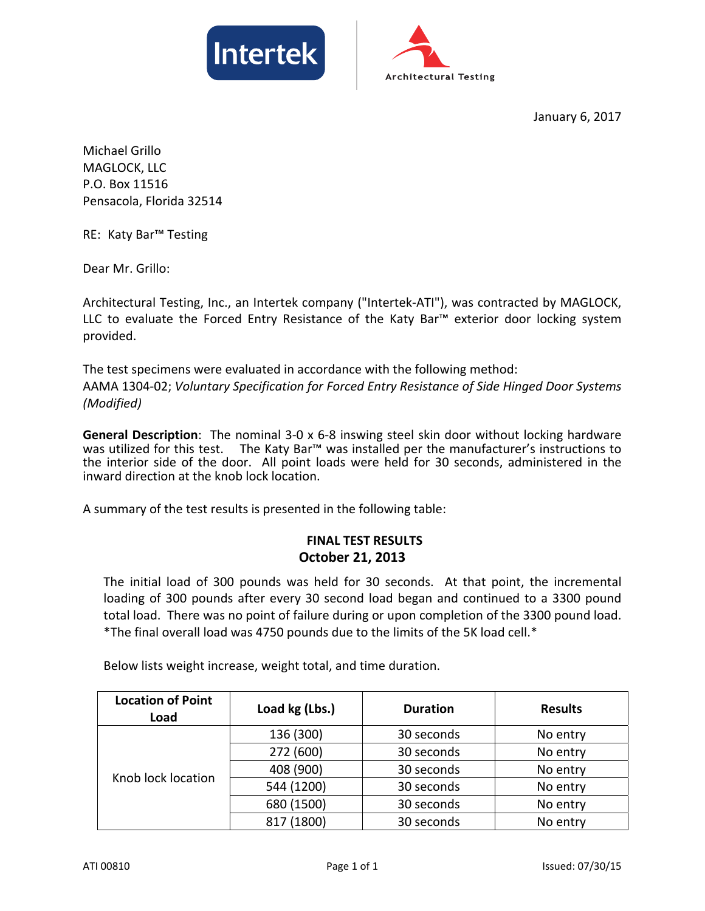



January 6, 2017

Michael Grillo MAGLOCK, LLC P.O. Box 11516 Pensacola, Florida 32514

RE: Katy Bar™ Testing

Dear Mr. Grillo:

Architectural Testing, Inc., an Intertek company ("Intertek‐ATI"), was contracted by MAGLOCK, LLC to evaluate the Forced Entry Resistance of the Katy Bar™ exterior door locking system provided.

The test specimens were evaluated in accordance with the following method: AAMA 1304‐02; *Voluntary Specification for Forced Entry Resistance of Side Hinged Door Systems (Modified)*

**General Description**: The nominal 3‐0 x 6‐8 inswing steel skin door without locking hardware was utilized for this test. The Katy Bar<sup>™</sup> was installed per the manufacturer's instructions to the interior side of the door. All point loads were held for 30 seconds, administered in the inward direction at the knob lock location.

A summary of the test results is presented in the following table:

## **FINAL TEST RESULTS October 21, 2013**

The initial load of 300 pounds was held for 30 seconds. At that point, the incremental loading of 300 pounds after every 30 second load began and continued to a 3300 pound total load. There was no point of failure during or upon completion of the 3300 pound load. \*The final overall load was 4750 pounds due to the limits of the 5K load cell.\*

Below lists weight increase, weight total, and time duration.

| <b>Location of Point</b><br>Load | Load kg (Lbs.) | <b>Duration</b> | <b>Results</b> |
|----------------------------------|----------------|-----------------|----------------|
| Knob lock location               | 136 (300)      | 30 seconds      | No entry       |
|                                  | 272 (600)      | 30 seconds      | No entry       |
|                                  | 408 (900)      | 30 seconds      | No entry       |
|                                  | 544 (1200)     | 30 seconds      | No entry       |
|                                  | 680 (1500)     | 30 seconds      | No entry       |
|                                  | 817 (1800)     | 30 seconds      | No entry       |